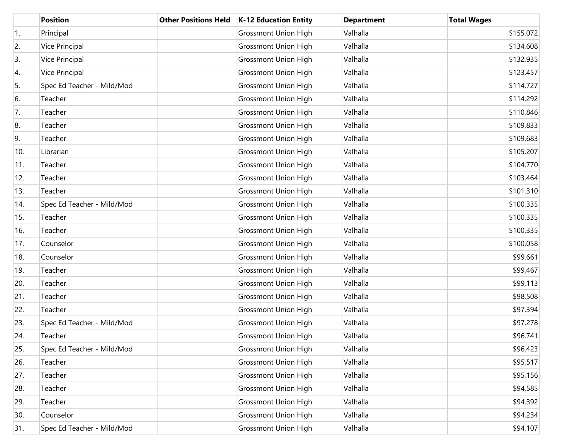|                  | <b>Position</b>            | <b>Other Positions Held</b> | K-12 Education Entity       | <b>Department</b> | <b>Total Wages</b> |
|------------------|----------------------------|-----------------------------|-----------------------------|-------------------|--------------------|
| $\overline{1}$ . | Principal                  |                             | <b>Grossmont Union High</b> | Valhalla          | \$155,072          |
| 2.               | Vice Principal             |                             | <b>Grossmont Union High</b> | Valhalla          | \$134,608          |
| 3.               | Vice Principal             |                             | <b>Grossmont Union High</b> | Valhalla          | \$132,935          |
| 4.               | Vice Principal             |                             | <b>Grossmont Union High</b> | Valhalla          | \$123,457          |
| 5.               | Spec Ed Teacher - Mild/Mod |                             | <b>Grossmont Union High</b> | Valhalla          | \$114,727          |
| 6.               | Teacher                    |                             | <b>Grossmont Union High</b> | Valhalla          | \$114,292          |
| 7.               | Teacher                    |                             | <b>Grossmont Union High</b> | Valhalla          | \$110,846          |
| 8.               | Teacher                    |                             | <b>Grossmont Union High</b> | Valhalla          | \$109,833          |
| 9.               | Teacher                    |                             | <b>Grossmont Union High</b> | Valhalla          | \$109,683          |
| 10.              | Librarian                  |                             | <b>Grossmont Union High</b> | Valhalla          | \$105,207          |
| 11.              | Teacher                    |                             | <b>Grossmont Union High</b> | Valhalla          | \$104,770          |
| 12.              | Teacher                    |                             | <b>Grossmont Union High</b> | Valhalla          | \$103,464          |
| 13.              | Teacher                    |                             | <b>Grossmont Union High</b> | Valhalla          | \$101,310          |
| 14.              | Spec Ed Teacher - Mild/Mod |                             | <b>Grossmont Union High</b> | Valhalla          | \$100,335          |
| 15.              | Teacher                    |                             | <b>Grossmont Union High</b> | Valhalla          | \$100,335          |
| 16.              | Teacher                    |                             | <b>Grossmont Union High</b> | Valhalla          | \$100,335          |
| 17.              | Counselor                  |                             | <b>Grossmont Union High</b> | Valhalla          | \$100,058          |
| 18.              | Counselor                  |                             | <b>Grossmont Union High</b> | Valhalla          | \$99,661           |
| 19.              | Teacher                    |                             | <b>Grossmont Union High</b> | Valhalla          | \$99,467           |
| 20.              | Teacher                    |                             | <b>Grossmont Union High</b> | Valhalla          | \$99,113           |
| 21.              | Teacher                    |                             | <b>Grossmont Union High</b> | Valhalla          | \$98,508           |
| 22.              | Teacher                    |                             | <b>Grossmont Union High</b> | Valhalla          | \$97,394           |
| 23.              | Spec Ed Teacher - Mild/Mod |                             | <b>Grossmont Union High</b> | Valhalla          | \$97,278           |
| 24.              | Teacher                    |                             | <b>Grossmont Union High</b> | Valhalla          | \$96,741           |
| 25.              | Spec Ed Teacher - Mild/Mod |                             | <b>Grossmont Union High</b> | Valhalla          | \$96,423           |
| 26.              | Teacher                    |                             | <b>Grossmont Union High</b> | Valhalla          | \$95,517           |
| 27.              | Teacher                    |                             | <b>Grossmont Union High</b> | Valhalla          | \$95,156           |
| 28.              | Teacher                    |                             | <b>Grossmont Union High</b> | Valhalla          | \$94,585           |
| 29.              | Teacher                    |                             | <b>Grossmont Union High</b> | Valhalla          | \$94,392           |
| 30.              | Counselor                  |                             | <b>Grossmont Union High</b> | Valhalla          | \$94,234           |
| 31.              | Spec Ed Teacher - Mild/Mod |                             | <b>Grossmont Union High</b> | Valhalla          | \$94,107           |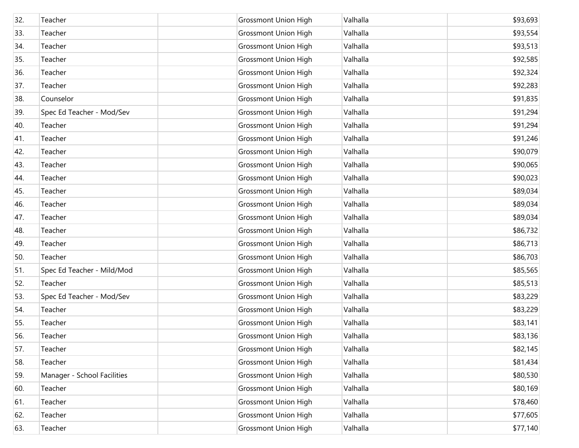| 32. | Teacher                     | <b>Grossmont Union High</b> | Valhalla | \$93,693 |
|-----|-----------------------------|-----------------------------|----------|----------|
| 33. | Teacher                     | <b>Grossmont Union High</b> | Valhalla | \$93,554 |
| 34. | Teacher                     | <b>Grossmont Union High</b> | Valhalla | \$93,513 |
| 35. | Teacher                     | <b>Grossmont Union High</b> | Valhalla | \$92,585 |
| 36. | Teacher                     | <b>Grossmont Union High</b> | Valhalla | \$92,324 |
| 37. | Teacher                     | <b>Grossmont Union High</b> | Valhalla | \$92,283 |
| 38. | Counselor                   | <b>Grossmont Union High</b> | Valhalla | \$91,835 |
| 39. | Spec Ed Teacher - Mod/Sev   | <b>Grossmont Union High</b> | Valhalla | \$91,294 |
| 40. | Teacher                     | <b>Grossmont Union High</b> | Valhalla | \$91,294 |
| 41. | Teacher                     | <b>Grossmont Union High</b> | Valhalla | \$91,246 |
| 42. | Teacher                     | <b>Grossmont Union High</b> | Valhalla | \$90,079 |
| 43. | Teacher                     | <b>Grossmont Union High</b> | Valhalla | \$90,065 |
| 44. | Teacher                     | <b>Grossmont Union High</b> | Valhalla | \$90,023 |
| 45. | Teacher                     | <b>Grossmont Union High</b> | Valhalla | \$89,034 |
| 46. | Teacher                     | <b>Grossmont Union High</b> | Valhalla | \$89,034 |
| 47. | Teacher                     | <b>Grossmont Union High</b> | Valhalla | \$89,034 |
| 48. | Teacher                     | <b>Grossmont Union High</b> | Valhalla | \$86,732 |
| 49. | Teacher                     | <b>Grossmont Union High</b> | Valhalla | \$86,713 |
| 50. | Teacher                     | <b>Grossmont Union High</b> | Valhalla | \$86,703 |
| 51. | Spec Ed Teacher - Mild/Mod  | <b>Grossmont Union High</b> | Valhalla | \$85,565 |
| 52. | Teacher                     | <b>Grossmont Union High</b> | Valhalla | \$85,513 |
| 53. | Spec Ed Teacher - Mod/Sev   | <b>Grossmont Union High</b> | Valhalla | \$83,229 |
| 54. | Teacher                     | <b>Grossmont Union High</b> | Valhalla | \$83,229 |
| 55. | Teacher                     | <b>Grossmont Union High</b> | Valhalla | \$83,141 |
| 56. | Teacher                     | <b>Grossmont Union High</b> | Valhalla | \$83,136 |
| 57. | Teacher                     | <b>Grossmont Union High</b> | Valhalla | \$82,145 |
| 58. | Teacher                     | <b>Grossmont Union High</b> | Valhalla | \$81,434 |
| 59. | Manager - School Facilities | <b>Grossmont Union High</b> | Valhalla | \$80,530 |
| 60. | Teacher                     | <b>Grossmont Union High</b> | Valhalla | \$80,169 |
| 61. | Teacher                     | <b>Grossmont Union High</b> | Valhalla | \$78,460 |
| 62. | Teacher                     | <b>Grossmont Union High</b> | Valhalla | \$77,605 |
| 63. | Teacher                     | <b>Grossmont Union High</b> | Valhalla | \$77,140 |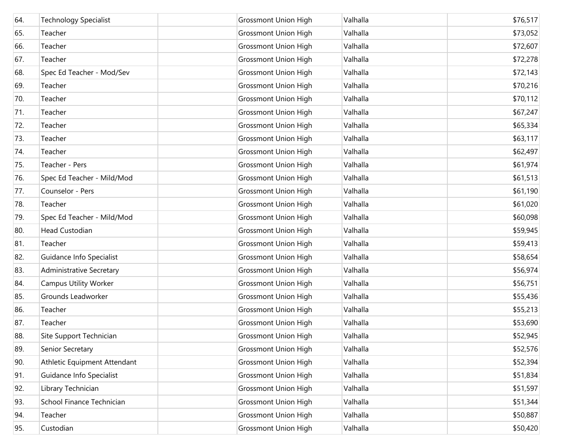| 64. | <b>Technology Specialist</b> | <b>Grossmont Union High</b> | Valhalla | \$76,517 |
|-----|------------------------------|-----------------------------|----------|----------|
| 65. | Teacher                      | <b>Grossmont Union High</b> | Valhalla | \$73,052 |
| 66. | Teacher                      | <b>Grossmont Union High</b> | Valhalla | \$72,607 |
| 67. | Teacher                      | <b>Grossmont Union High</b> | Valhalla | \$72,278 |
| 68. | Spec Ed Teacher - Mod/Sev    | <b>Grossmont Union High</b> | Valhalla | \$72,143 |
| 69. | Teacher                      | <b>Grossmont Union High</b> | Valhalla | \$70,216 |
| 70. | Teacher                      | <b>Grossmont Union High</b> | Valhalla | \$70,112 |
| 71. | Teacher                      | <b>Grossmont Union High</b> | Valhalla | \$67,247 |
| 72. | Teacher                      | <b>Grossmont Union High</b> | Valhalla | \$65,334 |
| 73. | Teacher                      | <b>Grossmont Union High</b> | Valhalla | \$63,117 |
| 74. | Teacher                      | <b>Grossmont Union High</b> | Valhalla | \$62,497 |
| 75. | Teacher - Pers               | <b>Grossmont Union High</b> | Valhalla | \$61,974 |
| 76. | Spec Ed Teacher - Mild/Mod   | <b>Grossmont Union High</b> | Valhalla | \$61,513 |
| 77. | Counselor - Pers             | <b>Grossmont Union High</b> | Valhalla | \$61,190 |
| 78. | Teacher                      | <b>Grossmont Union High</b> | Valhalla | \$61,020 |
| 79. | Spec Ed Teacher - Mild/Mod   | <b>Grossmont Union High</b> | Valhalla | \$60,098 |
| 80. | <b>Head Custodian</b>        | <b>Grossmont Union High</b> | Valhalla | \$59,945 |
| 81. | Teacher                      | <b>Grossmont Union High</b> | Valhalla | \$59,413 |
| 82. | Guidance Info Specialist     | <b>Grossmont Union High</b> | Valhalla | \$58,654 |
| 83. | Administrative Secretary     | <b>Grossmont Union High</b> | Valhalla | \$56,974 |
| 84. | <b>Campus Utility Worker</b> | <b>Grossmont Union High</b> | Valhalla | \$56,751 |
| 85. | Grounds Leadworker           | <b>Grossmont Union High</b> | Valhalla | \$55,436 |
| 86. | Teacher                      | <b>Grossmont Union High</b> | Valhalla | \$55,213 |
| 87. | Teacher                      | <b>Grossmont Union High</b> | Valhalla | \$53,690 |
| 88. | Site Support Technician      | <b>Grossmont Union High</b> | Valhalla | \$52,945 |
| 89. | Senior Secretary             | <b>Grossmont Union High</b> | Valhalla | \$52,576 |
| 90. | Athletic Equipment Attendant | <b>Grossmont Union High</b> | Valhalla | \$52,394 |
| 91. | Guidance Info Specialist     | <b>Grossmont Union High</b> | Valhalla | \$51,834 |
| 92. | Library Technician           | <b>Grossmont Union High</b> | Valhalla | \$51,597 |
| 93. | School Finance Technician    | <b>Grossmont Union High</b> | Valhalla | \$51,344 |
| 94. | Teacher                      | <b>Grossmont Union High</b> | Valhalla | \$50,887 |
| 95. | Custodian                    | <b>Grossmont Union High</b> | Valhalla | \$50,420 |